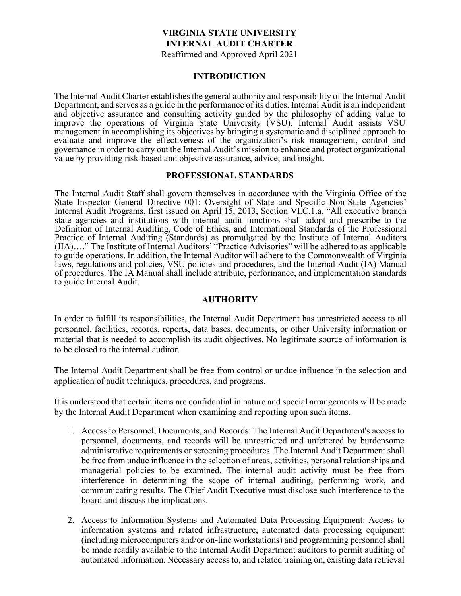## **VIRGINIA STATE UNIVERSITY INTERNAL AUDIT CHARTER** Reaffirmed and Approved April 2021

#### **INTRODUCTION**

The Internal Audit Charter establishes the general authority and responsibility of the Internal Audit Department, and serves as a guide in the performance of its duties. Internal Audit is an independent and objective assurance and consulting activity guided by the philosophy of adding value to improve the operations of Virginia State University (VSU). Internal Audit assists VSU management in accomplishing its objectives by bringing a systematic and disciplined approach to evaluate and improve the effectiveness of the organization's risk management, control and governance in order to carry out the Internal Audit's mission to enhance and protect organizational value by providing risk-based and objective assurance, advice, and insight.

### **PROFESSIONAL STANDARDS**

The Internal Audit Staff shall govern themselves in accordance with the Virginia Office of the State Inspector General Directive 001: Oversight of State and Specific Non-State Agencies' Internal Audit Programs, first issued on April 15, 2013, Section VI.C.1.a, "All executive branch state agencies and institutions with internal audit functions shall adopt and prescribe to the Definition of Internal Auditing, Code of Ethics, and International Standards of the Professional Practice of Internal Auditing (Standards) as promulgated by the Institute of Internal Auditors (IIA)…." The Institute of Internal Auditors' "Practice Advisories" will be adhered to as applicable to guide operations. In addition, the Internal Auditor will adhere to the Commonwealth of Virginia laws, regulations and policies, VSU policies and procedures, and the Internal Audit (IA) Manual of procedures. The IA Manual shall include attribute, performance, and implementation standards to guide Internal Audit.

### **AUTHORITY**

In order to fulfill its responsibilities, the Internal Audit Department has unrestricted access to all personnel, facilities, records, reports, data bases, documents, or other University information or material that is needed to accomplish its audit objectives. No legitimate source of information is to be closed to the internal auditor.

The Internal Audit Department shall be free from control or undue influence in the selection and application of audit techniques, procedures, and programs.

It is understood that certain items are confidential in nature and special arrangements will be made by the Internal Audit Department when examining and reporting upon such items.

- 1. Access to Personnel, Documents, and Records: The Internal Audit Department's access to personnel, documents, and records will be unrestricted and unfettered by burdensome administrative requirements or screening procedures. The Internal Audit Department shall be free from undue influence in the selection of areas, activities, personal relationships and managerial policies to be examined. The internal audit activity must be free from interference in determining the scope of internal auditing, performing work, and communicating results. The Chief Audit Executive must disclose such interference to the board and discuss the implications.
- 2. Access to Information Systems and Automated Data Processing Equipment: Access to information systems and related infrastructure, automated data processing equipment (including microcomputers and/or on-line workstations) and programming personnel shall be made readily available to the Internal Audit Department auditors to permit auditing of automated information. Necessary access to, and related training on, existing data retrieval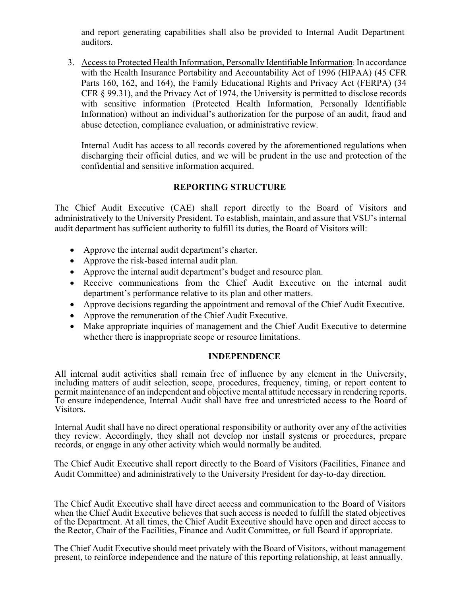and report generating capabilities shall also be provided to Internal Audit Department auditors.

3. Access to Protected Health Information, Personally Identifiable Information: In accordance with the Health Insurance Portability and Accountability Act of 1996 (HIPAA) (45 CFR Parts 160, 162, and 164), the Family Educational Rights and Privacy Act (FERPA) (34 CFR § 99.31), and the Privacy Act of 1974, the University is permitted to disclose records with sensitive information (Protected Health Information, Personally Identifiable Information) without an individual's authorization for the purpose of an audit, fraud and abuse detection, compliance evaluation, or administrative review.

Internal Audit has access to all records covered by the aforementioned regulations when discharging their official duties, and we will be prudent in the use and protection of the confidential and sensitive information acquired.

## **REPORTING STRUCTURE**

The Chief Audit Executive (CAE) shall report directly to the Board of Visitors and administratively to the University President. To establish, maintain, and assure that VSU's internal audit department has sufficient authority to fulfill its duties, the Board of Visitors will:

- Approve the internal audit department's charter.
- Approve the risk-based internal audit plan.
- Approve the internal audit department's budget and resource plan.
- Receive communications from the Chief Audit Executive on the internal audit department's performance relative to its plan and other matters.
- Approve decisions regarding the appointment and removal of the Chief Audit Executive.
- Approve the remuneration of the Chief Audit Executive.
- Make appropriate inquiries of management and the Chief Audit Executive to determine whether there is inappropriate scope or resource limitations.

# **INDEPENDENCE**

All internal audit activities shall remain free of influence by any element in the University, including matters of audit selection, scope, procedures, frequency, timing, or report content to permit maintenance of an independent and objective mental attitude necessary in rendering reports. To ensure independence, Internal Audit shall have free and unrestricted access to the Board of Visitors.

Internal Audit shall have no direct operational responsibility or authority over any of the activities they review. Accordingly, they shall not develop nor install systems or procedures, prepare records, or engage in any other activity which would normally be audited.

The Chief Audit Executive shall report directly to the Board of Visitors (Facilities, Finance and Audit Committee) and administratively to the University President for day-to-day direction.

The Chief Audit Executive shall have direct access and communication to the Board of Visitors when the Chief Audit Executive believes that such access is needed to fulfill the stated objectives of the Department. At all times, the Chief Audit Executive should have open and direct access to the Rector, Chair of the Facilities, Finance and Audit Committee, or full Board if appropriate.

The Chief Audit Executive should meet privately with the Board of Visitors, without management present, to reinforce independence and the nature of this reporting relationship, at least annually.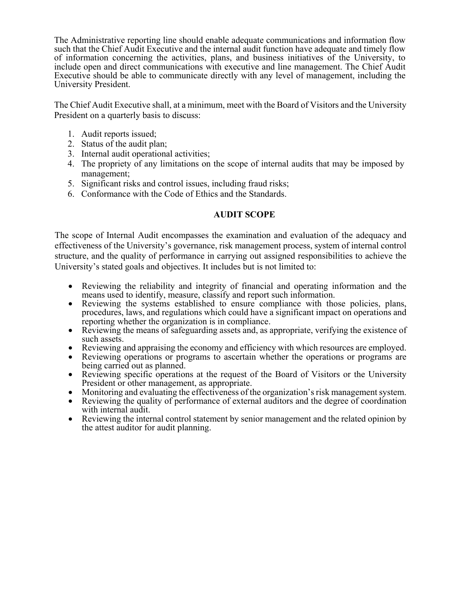The Administrative reporting line should enable adequate communications and information flow such that the Chief Audit Executive and the internal audit function have adequate and timely flow of information concerning the activities, plans, and business initiatives of the University, to include open and direct communications with executive and line management. The Chief Audit Executive should be able to communicate directly with any level of management, including the University President.

The Chief Audit Executive shall, at a minimum, meet with the Board of Visitors and the University President on a quarterly basis to discuss:

- 1. Audit reports issued;
- 2. Status of the audit plan;
- 3. Internal audit operational activities;
- 4. The propriety of any limitations on the scope of internal audits that may be imposed by management;
- 5. Significant risks and control issues, including fraud risks;
- 6. Conformance with the Code of Ethics and the Standards.

# **AUDIT SCOPE**

The scope of Internal Audit encompasses the examination and evaluation of the adequacy and effectiveness of the University's governance, risk management process, system of internal control structure, and the quality of performance in carrying out assigned responsibilities to achieve the University's stated goals and objectives. It includes but is not limited to:

- Reviewing the reliability and integrity of financial and operating information and the means used to identify, measure, classify and report such information.
- Reviewing the systems established to ensure compliance with those policies, plans, procedures, laws, and regulations which could have a significant impact on operations and
- reporting whether the organization is in compliance.<br>• Reviewing the means of safeguarding assets and, as appropriate, verifying the existence of
- Reviewing and appraising the economy and efficiency with which resources are employed.<br>• Reviewing operations or programs to ascertain whether the operations or programs are
- 
- being carried out as planned.<br>
 Reviewing specific operations at the request of the Board of Visitors or the University<br>
President or other management, as appropriate.
- 
- Monitoring and evaluating the effectiveness of the organization's risk management system.<br>• Reviewing the quality of performance of external auditors and the degree of coordination with internal audit.
- Reviewing the internal control statement by senior management and the related opinion by the attest auditor for audit planning.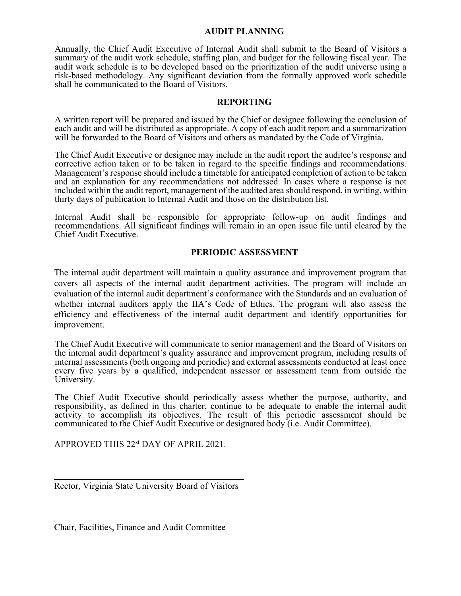### **AUDIT PLANNING**

Annually, the Chief Audit Executive of Internal Audit shall submit to the Board of Visitors a summary of the audit work schedule, staffing plan, and budget for the following fiscal year. The audit work schedule is to be developed based on the prioritization of the audit universe using a risk-based methodology. Any significant deviation from the formally approved work schedule shall be communicated to the Board of Visitors.

#### **REPORTING**

A written report will be prepared and issued by the Chief or designee following the conclusion of each audit and will be distributed as appropriate. A copy of each audit report and a summarization will be forwarded to the Board of Visitors and others as mandated by the Code of Virginia.

The Chief Audit Executive or designee may include in the audit report the auditee's response and corrective action taken or to be taken in regard to the specific findings and recommendations. Management's response should include a timetable for anticipated completion of action to be taken and an explanation for any recommendations not addressed. In cases where a response is not included within the audit report, management of the audited area should respond, in writing, within thirty days of publication to Internal Audit and those on the distribution list.

Internal Audit shall be responsible for appropriate follow-up on audit findings and recommendations. All significant findings will remain in an open issue file until cleared by the Chief Audit Executive.

## **PERIODIC ASSESSMENT**

The internal audit department will maintain a quality assurance and improvement program that covers all aspects of the internal audit department activities. The program will include an evaluation of the internal audit department's conformance with the Standards and an evaluation of whether internal auditors apply the IIA's Code of Ethics. The program will also assess the efficiency and effectiveness of the internal audit department and identify opportunities for improvement.

The Chief Audit Executive will communicate to senior management and the Board of Visitors on the internal audit department's quality assurance and improvement program, including results of internal assessments (both ongoing and periodic) and external assessments conducted at least once every five years by a qualified, independent assessor or assessment team from outside the University.

The Chief Audit Executive should periodically assess whether the purpose, authority, and responsibility, as defined in this charter, continue to be adequate to enable the internal audit activity to accomplish its objectives. The result of this periodic assessment should be communicated to the Chief Audit Executive or designated body (i.e. Audit Committee).

APPROVED THIS 22st DAY OF APRIL 2021.

Rector, Virginia State University Board of Visitors

Chair, Facilities, Finance and Audit Committee